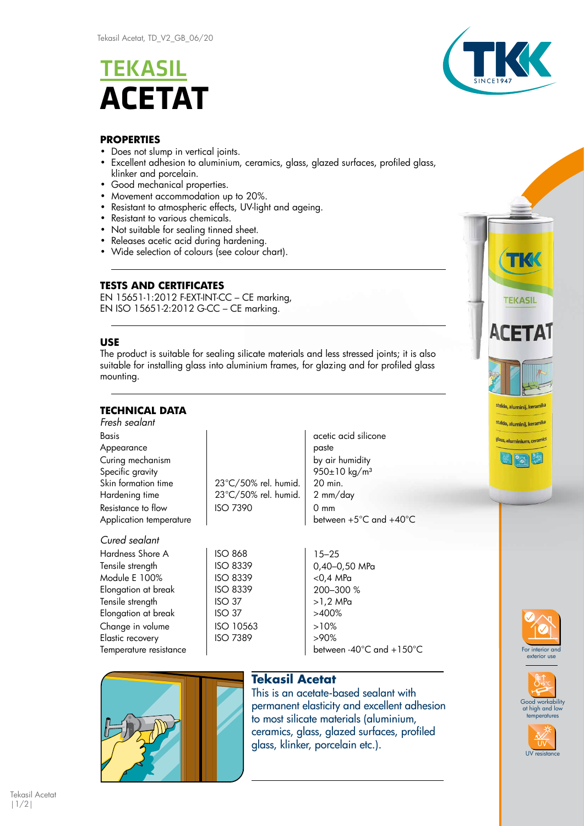# **TEKASIL ACETAT**



### **PROPERTIES**

- Does not slump in vertical joints.
- Excellent adhesion to aluminium, ceramics, glass, glazed surfaces, profiled glass, klinker and porcelain.
- Good mechanical properties.
- Movement accommodation up to 20%.
- Resistant to atmospheric effects, UV-light and ageing.
- Resistant to various chemicals.
- Not suitable for sealing tinned sheet.
- Releases acetic acid during hardening.
- Wide selection of colours (see colour chart).

## **TESTS AND CERTIFICATES**

EN 15651-1:2012 F-EXT-INT-CC – CE marking, EN ISO 15651-2:2012 G-CC – CE marking.

#### **USE**

The product is suitable for sealing silicate materials and less stressed joints; it is also suitable for installing glass into aluminium frames, for glazing and for profiled glass mounting.

## **TECHNICAL DATA**

| Fresh sealant           |                      |                          |
|-------------------------|----------------------|--------------------------|
| <b>Basis</b>            |                      | acetic acid silicone     |
| Appearance              |                      | paste                    |
| Curing mechanism        |                      | by air humidity          |
| Specific gravity        |                      | 950±10 kg/m <sup>3</sup> |
| Skin formation time     | 23°C/50% rel. humid. | 20 min.                  |
| Hardening time          | 23°C/50% rel. humid. | 2 mm/day                 |
| Resistance to flow      | <b>ISO 7390</b>      | $0 \text{ mm}$           |
| Application temperature |                      | between +5°C and +40°C   |
| Cured sealant           |                      |                          |

Hardness Shore A 150 868 15–25 Tensile strength  $\vert$  ISO 8339 0,40–0,50 MPa Module E 100% | ISO 8339 | <0,4 MPa Elongation at break | ISO 8339 | 200-300 % Tensile strength  $\vert$  ISO 37  $\vert$  >1,2 MPa Elongation at break ISO 37 2400% Change in volume  $\vert$  ISO 10563  $\vert$  >10% Elastic recovery ISO 7389 >90% Temperature resistance and the between -40°C and +150°C

|        | ISO 868   |
|--------|-----------|
|        | ISO 8339  |
|        | ISO 8339  |
|        | ISO 8339  |
| ISO 37 |           |
| ISO 37 |           |
|        | ISO 10563 |
|        | ISO 7389  |
|        |           |



## **Tekasil Acetat**

This is an acetate-based sealant with permanent elasticity and excellent adhesion to most silicate materials (aluminium, ceramics, glass, glazed surfaces, profiled glass, klinker, porcelain etc.).